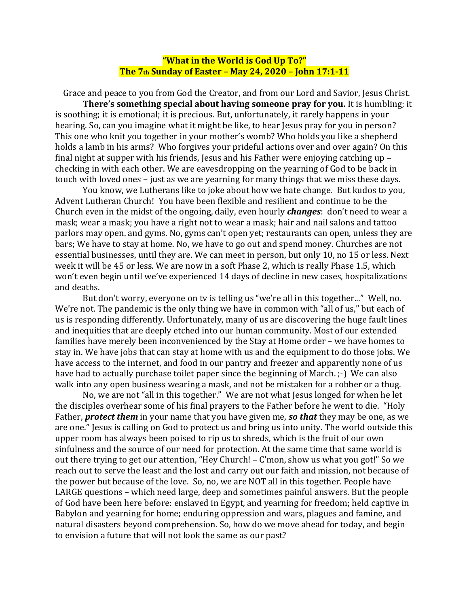## **"What in the World is God Up To?" The 7th Sunday of Easter – May 24, 2020 – John 17:1-11**

 Grace and peace to you from God the Creator, and from our Lord and Savior, Jesus Christ. **There's something special about having someone pray for you.** It is humbling; it is soothing; it is emotional; it is precious. But, unfortunately, it rarely happens in your hearing. So, can you imagine what it might be like, to hear Jesus pray for you in person? This one who knit you together in your mother's womb? Who holds you like a shepherd holds a lamb in his arms? Who forgives your prideful actions over and over again? On this final night at supper with his friends, Jesus and his Father were enjoying catching up – checking in with each other. We are eavesdropping on the yearning of God to be back in touch with loved ones – just as we are yearning for many things that we miss these days.

You know, we Lutherans like to joke about how we hate change. But kudos to you, Advent Lutheran Church! You have been flexible and resilient and continue to be the Church even in the midst of the ongoing, daily, even hourly *changes*: don't need to wear a mask; wear a mask; you have a right not to wear a mask; hair and nail salons and tattoo parlors may open. and gyms. No, gyms can't open yet; restaurants can open, unless they are bars; We have to stay at home. No, we have to go out and spend money. Churches are not essential businesses, until they are. We can meet in person, but only 10, no 15 or less. Next week it will be 45 or less. We are now in a soft Phase 2, which is really Phase 1.5, which won't even begin until we've experienced 14 days of decline in new cases, hospitalizations and deaths.

But don't worry, everyone on tv is telling us "we're all in this together..." Well, no. We're not. The pandemic is the only thing we have in common with "all of us," but each of us is responding differently. Unfortunately, many of us are discovering the huge fault lines and inequities that are deeply etched into our human community. Most of our extended families have merely been inconvenienced by the Stay at Home order – we have homes to stay in. We have jobs that can stay at home with us and the equipment to do those jobs. We have access to the internet, and food in our pantry and freezer and apparently none of us have had to actually purchase toilet paper since the beginning of March.  $;$ -) We can also walk into any open business wearing a mask, and not be mistaken for a robber or a thug.

No, we are not "all in this together." We are not what Jesus longed for when he let the disciples overhear some of his final prayers to the Father before he went to die. "Holy Father, *protect them* in your name that you have given me, *so that* they may be one, as we are one." Jesus is calling on God to protect us and bring us into unity. The world outside this upper room has always been poised to rip us to shreds, which is the fruit of our own sinfulness and the source of our need for protection. At the same time that same world is out there trying to get our attention, "Hey Church! – C'mon, show us what you got!" So we reach out to serve the least and the lost and carry out our faith and mission, not because of the power but because of the love. So, no, we are NOT all in this together. People have LARGE questions – which need large, deep and sometimes painful answers. But the people of God have been here before: enslaved in Egypt, and yearning for freedom; held captive in Babylon and yearning for home; enduring oppression and wars, plagues and famine, and natural disasters beyond comprehension. So, how do we move ahead for today, and begin to envision a future that will not look the same as our past?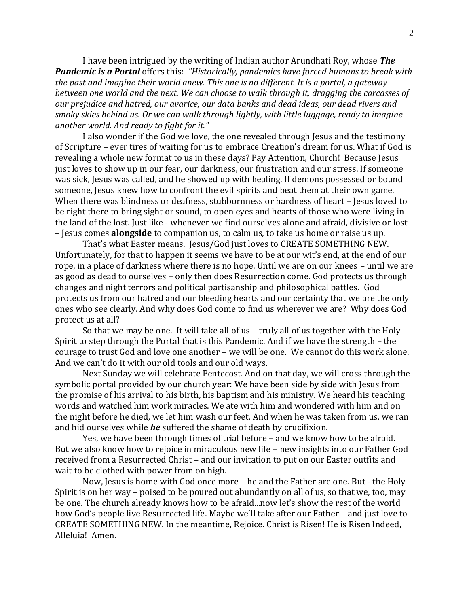I have been intrigued by the writing of Indian author Arundhati Roy, whose *The Pandemic is a Portal* offers this: *"Historically, pandemics have forced humans to break with the past and imagine their world anew. This one is no different. It is a portal, a gateway between one world and the next. We can choose to walk through it, dragging the carcasses of our prejudice and hatred, our avarice, our data banks and dead ideas, our dead rivers and smoky skies behind us. Or we can walk through lightly, with little luggage, ready to imagine another world. And ready to fight for it."*

I also wonder if the God we love, the one revealed through Jesus and the testimony of Scripture – ever tires of waiting for us to embrace Creation's dream for us. What if God is revealing a whole new format to us in these days? Pay Attention, Church! Because Jesus just loves to show up in our fear, our darkness, our frustration and our stress. If someone was sick, Jesus was called, and he showed up with healing. If demons possessed or bound someone, Jesus knew how to confront the evil spirits and beat them at their own game. When there was blindness or deafness, stubbornness or hardness of heart - Jesus loved to be right there to bring sight or sound, to open eyes and hearts of those who were living in the land of the lost. Just like - whenever we find ourselves alone and afraid, divisive or lost – Jesus comes **alongside** to companion us, to calm us, to take us home or raise us up.

That's what Easter means. Jesus/God just loves to CREATE SOMETHING NEW. Unfortunately, for that to happen it seems we have to be at our wit's end, at the end of our rope, in a place of darkness where there is no hope. Until we are on our knees – until we are as good as dead to ourselves – only then does Resurrection come. God protects us through changes and night terrors and political partisanship and philosophical battles. God protects us from our hatred and our bleeding hearts and our certainty that we are the only ones who see clearly. And why does God come to find us wherever we are? Why does God protect us at all?

So that we may be one. It will take all of us – truly all of us together with the Holy Spirit to step through the Portal that is this Pandemic. And if we have the strength – the courage to trust God and love one another – we will be one. We cannot do this work alone. And we can't do it with our old tools and our old ways.

Next Sunday we will celebrate Pentecost. And on that day, we will cross through the symbolic portal provided by our church year: We have been side by side with Jesus from the promise of his arrival to his birth, his baptism and his ministry. We heard his teaching words and watched him work miracles. We ate with him and wondered with him and on the night before he died, we let him wash our feet. And when he was taken from us, we ran and hid ourselves while *he* suffered the shame of death by crucifixion.

Yes, we have been through times of trial before – and we know how to be afraid. But we also know how to rejoice in miraculous new life – new insights into our Father God received from a Resurrected Christ – and our invitation to put on our Easter outfits and wait to be clothed with power from on high.

Now, Jesus is home with God once more – he and the Father are one. But - the Holy Spirit is on her way – poised to be poured out abundantly on all of us, so that we, too, may be one. The church already knows how to be afraid...now let's show the rest of the world how God's people live Resurrected life. Maybe we'll take after our Father – and just love to CREATE SOMETHING NEW. In the meantime, Rejoice. Christ is Risen! He is Risen Indeed, Alleluia! Amen.